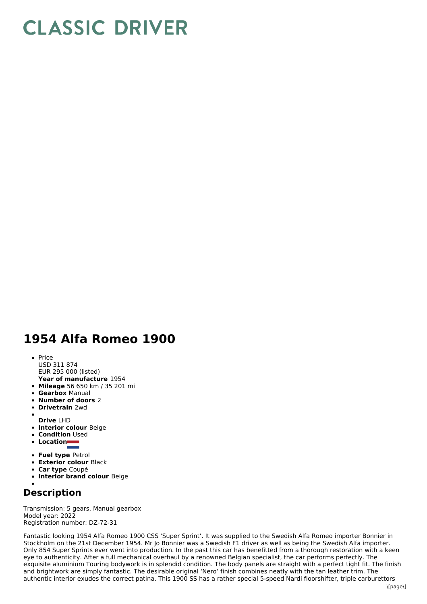## **CLASSIC DRIVER**

## **1954 Alfa Romeo 1900**

- **Year of manufacture** 1954  $\bullet$  Price USD 311 874 EUR 295 000 (listed)
- **Mileage** 56 650 km / 35 201 mi
- **Gearbox** Manual
- **Number of doors** 2
- **Drivetrain** 2wd

**Drive** LHD

- **Interior colour** Beige
- **Condition** Used  $\bullet$
- **Location**
- 
- **Fuel type** Petrol
- **Exterior colour** Black
- **Car type** Coupé
- **Interior brand colour** Beige

## **Description**

Transmission: 5 gears, Manual gearbox Model year: 2022 Registration number: DZ-72-31

Fantastic looking 1954 Alfa Romeo 1900 CSS 'Super Sprint'. It was supplied to the Swedish Alfa Romeo importer Bonnier in Stockholm on the 21st December 1954. Mr Jo Bonnier was a Swedish F1 driver as well as being the Swedish Alfa importer. Only 854 Super Sprints ever went into production. In the past this car has benefitted from a thorough restoration with a keen eye to authenticity. After a full mechanical overhaul by a renowned Belgian specialist, the car performs perfectly. The exquisite aluminium Touring bodywork is in splendid condition. The body panels are straight with a perfect tight fit. The finish and brightwork are simply fantastic. The desirable original 'Nero' finish combines neatly with the tan leather trim. The authentic interior exudes the correct patina. This 1900 SS has a rather special 5-speed Nardi floorshifter, triple carburettors \[page\]